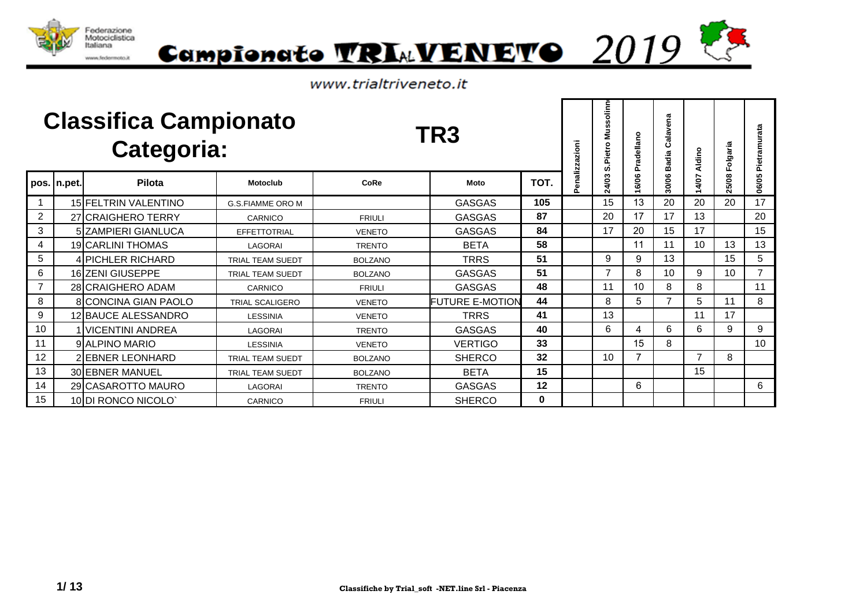



|                |             | <b>Classifica Campionato</b><br>Categoria: |                         |                | TR <sub>3</sub>        |          | enalizzazioni | olinn<br>ŭ.<br><b>Nus</b><br>S.Pietro | Pradellano | Calavena<br><b>Badia</b> | Aldino         | Folgaria | Pietramurata    |
|----------------|-------------|--------------------------------------------|-------------------------|----------------|------------------------|----------|---------------|---------------------------------------|------------|--------------------------|----------------|----------|-----------------|
|                | pos. n.pet. | Pilota                                     | <b>Motoclub</b>         | CoRe           | Moto                   | TOT.     |               | 24/03                                 | 16/06      | 30/06                    | 14/07          | 25/08    | 06/05           |
|                |             | 15 FELTRIN VALENTINO                       | <b>G.S.FIAMME ORO M</b> |                | <b>GASGAS</b>          | 105      |               | 15                                    | 13         | 20                       | 20             | 20       | 17              |
| $\overline{2}$ |             | 27 CRAIGHERO TERRY                         | CARNICO                 | <b>FRIULI</b>  | <b>GASGAS</b>          | 87       |               | 20                                    | 17         | 17                       | 13             |          | 20              |
| 3              |             | 5 ZAMPIERI GIANLUCA                        | EFFETTOTRIAL            | <b>VENETO</b>  | <b>GASGAS</b>          | 84       |               | 17                                    | 20         | 15                       | 17             |          | 15              |
| 4              |             | 19 CARLINI THOMAS                          | LAGORAI                 | <b>TRENTO</b>  | <b>BETA</b>            | 58       |               |                                       | 11         | 11                       | 10             | 13       | 13              |
| 5              |             | 4 PICHLER RICHARD                          | <b>TRIAL TEAM SUEDT</b> | <b>BOLZANO</b> | TRRS                   | 51       |               | 9                                     | 9          | 13                       |                | 15       | 5               |
| 6              |             | 16 ZENI GIUSEPPE                           | <b>TRIAL TEAM SUEDT</b> | <b>BOLZANO</b> | <b>GASGAS</b>          | 51       |               | $\overline{7}$                        | 8          | 10                       | 9              | 10       | $\overline{7}$  |
| $\overline{7}$ |             | 28 CRAIGHERO ADAM                          | CARNICO                 | <b>FRIULI</b>  | <b>GASGAS</b>          | 48       |               | 11                                    | 10         | 8                        | 8              |          | 11              |
| 8              |             | 8 CONCINA GIAN PAOLO                       | <b>TRIAL SCALIGERO</b>  | <b>VENETO</b>  | <b>FUTURE E-MOTION</b> | 44       |               | 8                                     | 5          | $\overline{ }$           | 5              | 11       | 8               |
| 9              |             | 12 BAUCE ALESSANDRO                        | <b>LESSINIA</b>         | <b>VENETO</b>  | <b>TRRS</b>            | 41       |               | 13                                    |            |                          | 11             | 17       |                 |
| 10             |             | <b>VICENTINI ANDREA</b>                    | LAGORAI                 | <b>TRENTO</b>  | <b>GASGAS</b>          | 40       |               | 6                                     | 4          | 6                        | 6              | 9        | 9               |
| 11             |             | 9 ALPINO MARIO                             | <b>LESSINIA</b>         | <b>VENETO</b>  | <b>VERTIGO</b>         | 33       |               |                                       | 15         | 8                        |                |          | 10 <sup>°</sup> |
| 12             |             | 2 EBNER LEONHARD                           | <b>TRIAL TEAM SUEDT</b> | <b>BOLZANO</b> | <b>SHERCO</b>          | 32       |               | 10                                    |            |                          | $\overline{ }$ | 8        |                 |
| 13             |             | 30 EBNER MANUEL                            | <b>TRIAL TEAM SUEDT</b> | <b>BOLZANO</b> | <b>BETA</b>            | 15       |               |                                       |            |                          | 15             |          |                 |
| 14             |             | 29 CASAROTTO MAURO                         | LAGORAI                 | <b>TRENTO</b>  | <b>GASGAS</b>          | 12       |               |                                       | 6          |                          |                |          | 6               |
| 15             |             | 10 DI RONCO NICOLO                         | CARNICO                 | <b>FRIULI</b>  | <b>SHERCO</b>          | $\bf{0}$ |               |                                       |            |                          |                |          |                 |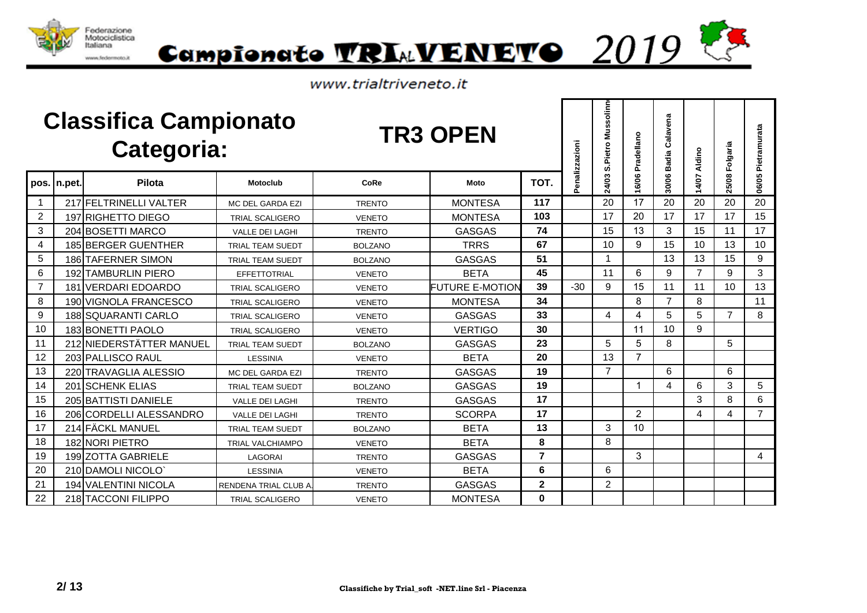



|                |             | <b>Classifica Campionato</b><br><b>Categoria:</b> |                         |                | <b>TR3 OPEN</b>        |                | enalizzazioni | solinn<br>Mus:<br>S.Pietro | Pradellano     | Calavena<br><b>Badia</b> | Aldino         | 25/08 Folgaria | Pietramurata   |
|----------------|-------------|---------------------------------------------------|-------------------------|----------------|------------------------|----------------|---------------|----------------------------|----------------|--------------------------|----------------|----------------|----------------|
|                | pos. n.pet. | Pilota                                            | <b>Motoclub</b>         | CoRe           | Moto                   | TOT.           | ñ             | 24/03                      | 16/06          | 30/06                    | 14/07          |                | 06/05          |
| -1             |             | 217 FELTRINELLI VALTER                            | MC DEL GARDA EZI        | <b>TRENTO</b>  | <b>MONTESA</b>         | 117            |               | 20                         | 17             | 20                       | 20             | 20             | 20             |
| $\overline{2}$ |             | 197 RIGHETTO DIEGO                                | <b>TRIAL SCALIGERO</b>  | <b>VENETO</b>  | <b>MONTESA</b>         | 103            |               | 17                         | 20             | 17                       | 17             | 17             | 15             |
| 3              |             | 204 BOSETTI MARCO                                 | <b>VALLE DEI LAGHI</b>  | <b>TRENTO</b>  | <b>GASGAS</b>          | 74             |               | 15                         | 13             | 3                        | 15             | 11             | 17             |
| 4              |             | <b>185 BERGER GUENTHER</b>                        | <b>TRIAL TEAM SUEDT</b> | <b>BOLZANO</b> | <b>TRRS</b>            | 67             |               | 10                         | 9              | 15                       | 10             | 13             | 10             |
| 5              |             | 186 TAFERNER SIMON                                | TRIAL TEAM SUEDT        | <b>BOLZANO</b> | <b>GASGAS</b>          | 51             |               |                            |                | 13                       | 13             | 15             | 9              |
| 6              |             | <b>192 TAMBURLIN PIERO</b>                        | EFFETTOTRIAL            | <b>VENETO</b>  | <b>BETA</b>            | 45             |               | 11                         | 6              | 9                        | $\overline{7}$ | 9              | 3              |
| $\overline{7}$ |             | 181 VERDARI EDOARDO                               | <b>TRIAL SCALIGERO</b>  | <b>VENETO</b>  | <b>FUTURE E-MOTION</b> | 39             | $-30$         | 9                          | 15             | 11                       | 11             | 10             | 13             |
| 8              |             | 190 VIGNOLA FRANCESCO                             | <b>TRIAL SCALIGERO</b>  | <b>VENETO</b>  | <b>MONTESA</b>         | 34             |               |                            | 8              | $\overline{7}$           | 8              |                | 11             |
| 9              |             | 188 SQUARANTI CARLO                               | <b>TRIAL SCALIGERO</b>  | <b>VENETO</b>  | <b>GASGAS</b>          | 33             |               | 4                          | 4              | 5                        | 5              | $\overline{7}$ | 8              |
| 10             |             | 183 BONETTI PAOLO                                 | <b>TRIAL SCALIGERO</b>  | <b>VENETO</b>  | <b>VERTIGO</b>         | 30             |               |                            | 11             | 10                       | 9              |                |                |
| 11             |             | 212 NIEDERSTÄTTER MANUEL                          | <b>TRIAL TEAM SUEDT</b> | <b>BOLZANO</b> | <b>GASGAS</b>          | 23             |               | 5                          | 5              | 8                        |                | 5              |                |
| 12             |             | 203 PALLISCO RAUL                                 | <b>LESSINIA</b>         | <b>VENETO</b>  | <b>BETA</b>            | 20             |               | 13                         | 7              |                          |                |                |                |
| 13             |             | 220 TRAVAGLIA ALESSIO                             | <b>MC DEL GARDA EZI</b> | <b>TRENTO</b>  | <b>GASGAS</b>          | 19             |               | $\overline{7}$             |                | 6                        |                | 6              |                |
| 14             |             | 201 SCHENK ELIAS                                  | TRIAL TEAM SUEDT        | <b>BOLZANO</b> | <b>GASGAS</b>          | 19             |               |                            | $\mathbf 1$    | 4                        | 6              | 3              | 5              |
| 15             |             | 205 BATTISTI DANIELE                              | <b>VALLE DEI LAGHI</b>  | <b>TRENTO</b>  | <b>GASGAS</b>          | 17             |               |                            |                |                          | 3              | 8              | 6              |
| 16             |             | 206 CORDELLI ALESSANDRO                           | <b>VALLE DEI LAGHI</b>  | <b>TRENTO</b>  | <b>SCORPA</b>          | 17             |               |                            | $\overline{2}$ |                          | 4              | 4              | $\overline{7}$ |
| 17             |             | 214 FÄCKL MANUEL                                  | <b>TRIAL TEAM SUEDT</b> | <b>BOLZANO</b> | <b>BETA</b>            | 13             |               | 3                          | 10             |                          |                |                |                |
| 18             |             | 182 NORI PIETRO                                   | <b>TRIAL VALCHIAMPO</b> | <b>VENETO</b>  | <b>BETA</b>            | 8              |               | 8                          |                |                          |                |                |                |
| 19             |             | 199 ZOTTA GABRIELE                                | LAGORAI                 | <b>TRENTO</b>  | <b>GASGAS</b>          | $\overline{7}$ |               |                            | 3              |                          |                |                | $\overline{4}$ |
| 20             |             | 210 DAMOLI NICOLO                                 | <b>LESSINIA</b>         | <b>VENETO</b>  | <b>BETA</b>            | 6              |               | 6                          |                |                          |                |                |                |
| 21             |             | <b>194 VALENTINI NICOLA</b>                       | RENDENA TRIAL CLUB A    | <b>TRENTO</b>  | <b>GASGAS</b>          | $\mathbf{2}$   |               | 2                          |                |                          |                |                |                |
| 22             |             | 218 TACCONI FILIPPO                               | <b>TRIAL SCALIGERO</b>  | <b>VENETO</b>  | <b>MONTESA</b>         | 0              |               |                            |                |                          |                |                |                |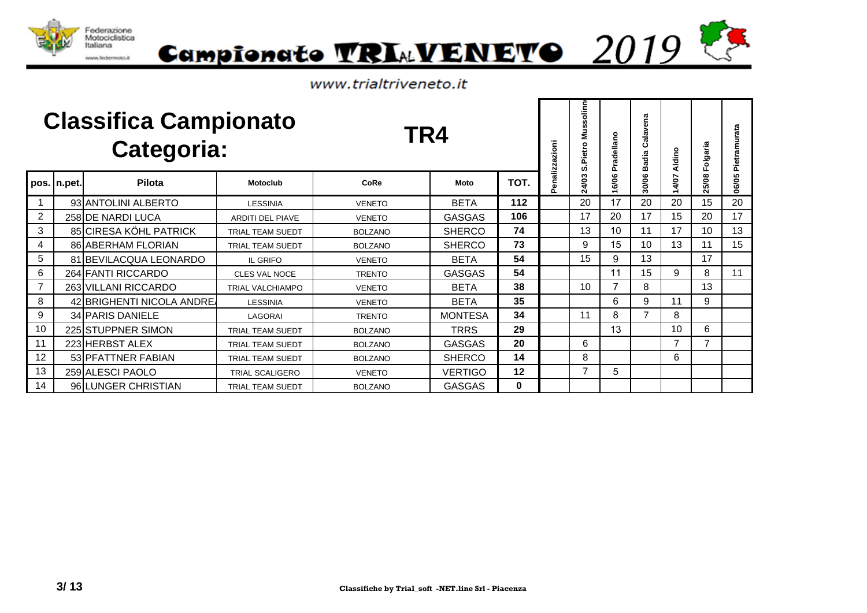



|                |               | <b>Classifica Campionato</b><br>Categoria: |                         | TR4            |                |      | enalizzazioni | olinn<br>ō.<br>m<br>ξ<br>Pietro<br>ທ່ | Pradellano     | Calavena<br>Badia | Aldino         | Folgaria | Pietramurata |
|----------------|---------------|--------------------------------------------|-------------------------|----------------|----------------|------|---------------|---------------------------------------|----------------|-------------------|----------------|----------|--------------|
|                | pos.   n.pet. | Pilota                                     | <b>Motoclub</b>         | <b>CoRe</b>    | Moto           | TOT. | Ő.            | 4/03<br>Ñ                             | 6/06           | 30/06             | 14/07          | 25/08    | 06/05        |
|                |               | 93 ANTOLINI ALBERTO                        | <b>LESSINIA</b>         | <b>VENETO</b>  | <b>BETA</b>    | 112  |               | 20                                    | 17             | 20                | 20             | 15       | 20           |
| $\overline{2}$ |               | 258 DE NARDI LUCA                          | <b>ARDITI DEL PIAVE</b> | <b>VENETO</b>  | <b>GASGAS</b>  | 106  |               | 17                                    | 20             | 17                | 15             | 20       | 17           |
| 3              |               | 85 CIRESA KÖHL PATRICK                     | <b>TRIAL TEAM SUEDT</b> | <b>BOLZANO</b> | <b>SHERCO</b>  | 74   |               | 13                                    | 10             | 11                | 17             | 10       | 13           |
| 4              |               | 86 ABERHAM FLORIAN                         | <b>TRIAL TEAM SUEDT</b> | <b>BOLZANO</b> | <b>SHERCO</b>  | 73   |               | 9                                     | 15             | 10                | 13             | 11       | 15           |
| 5              |               | 81 BEVILACQUA LEONARDO                     | <b>IL GRIFO</b>         | <b>VENETO</b>  | <b>BETA</b>    | 54   |               | 15                                    | 9              | 13                |                | 17       |              |
| 6              |               | 264 FANTI RICCARDO                         | CLES VAL NOCE           | <b>TRENTO</b>  | <b>GASGAS</b>  | 54   |               |                                       | 11             | 15                | 9              | 8        | 11           |
| $\overline{7}$ |               | 263 VILLANI RICCARDO                       | TRIAL VALCHIAMPO        | <b>VENETO</b>  | <b>BETA</b>    | 38   |               | 10                                    | $\overline{ }$ | 8                 |                | 13       |              |
| 8              |               | 42 BRIGHENTI NICOLA ANDRE                  | <b>LESSINIA</b>         | <b>VENETO</b>  | <b>BETA</b>    | 35   |               |                                       | 6              | 9                 | 11             | 9        |              |
| 9              |               | 34 PARIS DANIELE                           | LAGORAI                 | <b>TRENTO</b>  | <b>MONTESA</b> | 34   |               | 11                                    | 8              | $\overline{7}$    | 8              |          |              |
| 10             |               | 225 STUPPNER SIMON                         | <b>TRIAL TEAM SUEDT</b> | <b>BOLZANO</b> | <b>TRRS</b>    | 29   |               |                                       | 13             |                   | 10             | 6        |              |
| 11             |               | 223 HERBST ALEX                            | <b>TRIAL TEAM SUEDT</b> | <b>BOLZANO</b> | <b>GASGAS</b>  | 20   |               | 6                                     |                |                   | $\overline{7}$ | 7        |              |
| 12             |               | 53 PFATTNER FABIAN                         | <b>TRIAL TEAM SUEDT</b> | <b>BOLZANO</b> | <b>SHERCO</b>  | 14   |               | 8                                     |                |                   | 6              |          |              |
| 13             |               | 259 ALESCI PAOLO                           | <b>TRIAL SCALIGERO</b>  | <b>VENETO</b>  | <b>VERTIGO</b> | 12   |               | 7                                     | 5              |                   |                |          |              |
| 14             |               | 96 LUNGER CHRISTIAN                        | <b>TRIAL TEAM SUEDT</b> | <b>BOLZANO</b> | <b>GASGAS</b>  | 0    |               |                                       |                |                   |                |          |              |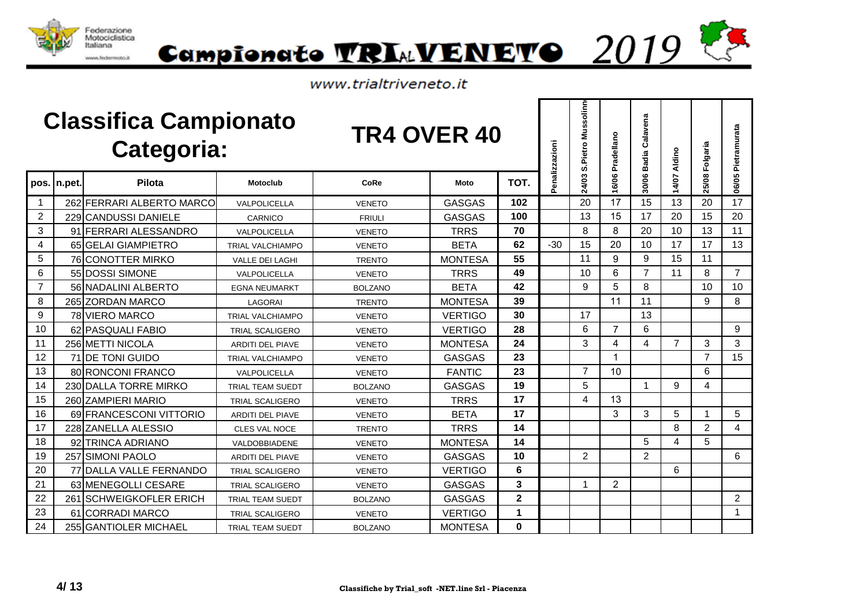



|                |              | <b>Classifica Campionato</b><br>Categoria: |                         | <b>TR4 OVER 40</b> |                |              | Penalizzazioni | S.Pietro Mussolinn      | 16/06 Pradellano | Calavena<br>30/06 Badia | 14/07 Aldino   | 25/08 Folgaria | Pietramurata   |
|----------------|--------------|--------------------------------------------|-------------------------|--------------------|----------------|--------------|----------------|-------------------------|------------------|-------------------------|----------------|----------------|----------------|
|                | pos. In.pet. | Pilota                                     | <b>Motoclub</b>         | CoRe               | Moto           | TOT.         |                | 24/03                   |                  |                         |                |                | 06/05          |
| $\mathbf{1}$   |              | 262 FERRARI ALBERTO MARCO                  | VALPOLICELLA            | <b>VENETO</b>      | <b>GASGAS</b>  | 102          |                | 20                      | 17               | 15                      | 13             | 20             | 17             |
| $\overline{2}$ |              | 229 CANDUSSI DANIELE                       | CARNICO                 | <b>FRIULI</b>      | <b>GASGAS</b>  | 100          |                | 13                      | 15               | 17                      | 20             | 15             | 20             |
| 3              |              | 91 FERRARI ALESSANDRO                      | VALPOLICELLA            | <b>VENETO</b>      | <b>TRRS</b>    | 70           |                | 8                       | 8                | 20                      | 10             | 13             | 11             |
| 4              |              | 65 GELAI GIAMPIETRO                        | <b>TRIAL VALCHIAMPO</b> | <b>VENETO</b>      | <b>BETA</b>    | 62           | $-30$          | 15                      | 20               | 10                      | 17             | 17             | 13             |
| 5              |              | 76 CONOTTER MIRKO                          | <b>VALLE DEI LAGHI</b>  | <b>TRENTO</b>      | <b>MONTESA</b> | 55           |                | 11                      | 9                | 9                       | 15             | 11             |                |
| 6              |              | 55 DOSSI SIMONE                            | <b>VALPOLICELLA</b>     | <b>VENETO</b>      | <b>TRRS</b>    | 49           |                | 10                      | 6                | $\overline{7}$          | 11             | 8              | $\overline{7}$ |
| $\overline{7}$ |              | 56 NADALINI ALBERTO                        | <b>EGNA NEUMARKT</b>    | <b>BOLZANO</b>     | <b>BETA</b>    | 42           |                | 9                       | 5                | 8                       |                | 10             | 10             |
| 8              |              | 265 ZORDAN MARCO                           | LAGORAI                 | <b>TRENTO</b>      | <b>MONTESA</b> | 39           |                |                         | 11               | 11                      |                | 9              | 8              |
| 9              |              | 78 VIERO MARCO                             | <b>TRIAL VALCHIAMPO</b> | <b>VENETO</b>      | <b>VERTIGO</b> | 30           |                | 17                      |                  | 13                      |                |                |                |
| 10             |              | 62 PASQUALI FABIO                          | <b>TRIAL SCALIGERO</b>  | <b>VENETO</b>      | <b>VERTIGO</b> | 28           |                | 6                       | $\overline{7}$   | 6                       |                |                | 9              |
| 11             |              | 256 METTI NICOLA                           | <b>ARDITI DEL PIAVE</b> | <b>VENETO</b>      | <b>MONTESA</b> | 24           |                | 3                       | 4                | 4                       | $\overline{7}$ | 3              | 3              |
| 12             |              | 71 DE TONI GUIDO                           | <b>TRIAL VALCHIAMPO</b> | <b>VENETO</b>      | <b>GASGAS</b>  | 23           |                |                         | $\mathbf{1}$     |                         |                | $\overline{7}$ | 15             |
| 13             |              | 80 RONCONI FRANCO                          | VALPOLICELLA            | <b>VENETO</b>      | <b>FANTIC</b>  | 23           |                | $\overline{7}$          | 10               |                         |                | 6              |                |
| 14             |              | 230 DALLA TORRE MIRKO                      | TRIAL TEAM SUEDT        | <b>BOLZANO</b>     | <b>GASGAS</b>  | 19           |                | 5                       |                  | -1                      | 9              | 4              |                |
| 15             |              | 260 ZAMPIERI MARIO                         | <b>TRIAL SCALIGERO</b>  | <b>VENETO</b>      | <b>TRRS</b>    | 17           |                | $\overline{\mathbf{4}}$ | 13               |                         |                |                |                |
| 16             |              | 69 FRANCESCONI VITTORIO                    | <b>ARDITI DEL PIAVE</b> | <b>VENETO</b>      | <b>BETA</b>    | 17           |                |                         | 3                | 3                       | 5              |                | 5              |
| 17             |              | 228 ZANELLA ALESSIO                        | <b>CLES VAL NOCE</b>    | <b>TRENTO</b>      | <b>TRRS</b>    | 14           |                |                         |                  |                         | 8              | $\overline{2}$ | 4              |
| 18             |              | 92 TRINCA ADRIANO                          | VALDOBBIADENE           | <b>VENETO</b>      | <b>MONTESA</b> | 14           |                |                         |                  | 5                       | 4              | 5              |                |
| 19             |              | 257 SIMONI PAOLO                           | <b>ARDITI DEL PIAVE</b> | <b>VENETO</b>      | <b>GASGAS</b>  | 10           |                | $\overline{2}$          |                  | $\overline{2}$          |                |                | 6              |
| 20             |              | 77 DALLA VALLE FERNANDO                    | <b>TRIAL SCALIGERO</b>  | <b>VENETO</b>      | <b>VERTIGO</b> | 6            |                |                         |                  |                         | 6              |                |                |
| 21             |              | 63 MENEGOLLI CESARE                        | <b>TRIAL SCALIGERO</b>  | <b>VENETO</b>      | <b>GASGAS</b>  | 3            |                | -1                      | 2                |                         |                |                |                |
| 22             | 261          | <b>SCHWEIGKOFLER ERICH</b>                 | <b>TRIAL TEAM SUEDT</b> | <b>BOLZANO</b>     | <b>GASGAS</b>  | $\mathbf{2}$ |                |                         |                  |                         |                |                | $\overline{2}$ |
| 23             | 61           | <b>ICORRADI MARCO</b>                      | <b>TRIAL SCALIGERO</b>  | <b>VENETO</b>      | <b>VERTIGO</b> | $\mathbf{1}$ |                |                         |                  |                         |                |                | $\mathbf{1}$   |
| 24             |              | 255 GANTIOLER MICHAEL                      | <b>TRIAL TEAM SUEDT</b> | <b>BOLZANO</b>     | <b>MONTESA</b> | $\bf{0}$     |                |                         |                  |                         |                |                |                |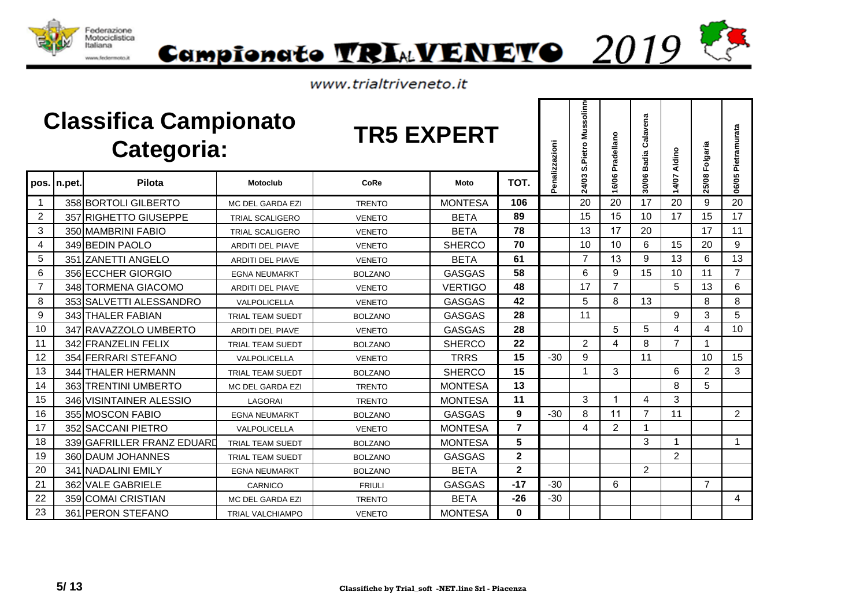



|                |              | <b>Classifica Campionato</b><br>Categoria: |                         | <b>TR5 EXPERT</b> |                |                | enalizzazioni | S.Pietro Mussolinn | 16/06 Pradellano | Calavena<br><b>Badia</b> | 14/07 Aldino   | 25/08 Folgaria | 06/05 Pietramurata |
|----------------|--------------|--------------------------------------------|-------------------------|-------------------|----------------|----------------|---------------|--------------------|------------------|--------------------------|----------------|----------------|--------------------|
|                | pos. In.pet. | Pilota                                     | <b>Motoclub</b>         | CoRe              | Moto           | TOT.           | ő.            | 24/03              |                  | 30/06                    |                |                |                    |
| 1              |              | 358 BORTOLI GILBERTO                       | <b>MC DEL GARDA EZI</b> | <b>TRENTO</b>     | MONTESA        | 106            |               | 20                 | 20               | 17                       | 20             | 9              | 20                 |
| $\overline{2}$ |              | 357 RIGHETTO GIUSEPPE                      | <b>TRIAL SCALIGERO</b>  | <b>VENETO</b>     | <b>BETA</b>    | 89             |               | 15                 | 15               | 10                       | 17             | 15             | 17                 |
| 3              |              | 350 MAMBRINI FABIO                         | <b>TRIAL SCALIGERO</b>  | <b>VENETO</b>     | <b>BETA</b>    | 78             |               | 13                 | 17               | 20                       |                | 17             | 11                 |
| 4              |              | 349 BEDIN PAOLO                            | <b>ARDITI DEL PIAVE</b> | <b>VENETO</b>     | <b>SHERCO</b>  | 70             |               | 10                 | 10               | 6                        | 15             | 20             | $\boldsymbol{9}$   |
| 5              | 351          | <b>ZANETTI ANGELO</b>                      | <b>ARDITI DEL PIAVE</b> | <b>VENETO</b>     | <b>BETA</b>    | 61             |               | $\overline{7}$     | 13               | 9                        | 13             | 6              | 13                 |
| 6              |              | 356 ECCHER GIORGIO                         | <b>EGNA NEUMARKT</b>    | <b>BOLZANO</b>    | GASGAS         | 58             |               | 6                  | 9                | 15                       | 10             | 11             | $\overline{7}$     |
| $\overline{7}$ |              | 348 TORMENA GIACOMO                        | <b>ARDITI DEL PIAVE</b> | <b>VENETO</b>     | <b>VERTIGO</b> | 48             |               | 17                 | $\overline{7}$   |                          | 5              | 13             | 6                  |
| 8              |              | 353 SALVETTI ALESSANDRO                    | VALPOLICELLA            | <b>VENETO</b>     | <b>GASGAS</b>  | 42             |               | 5                  | 8                | 13                       |                | 8              | 8                  |
| 9              |              | 343 THALER FABIAN                          | <b>TRIAL TEAM SUEDT</b> | <b>BOLZANO</b>    | <b>GASGAS</b>  | 28             |               | 11                 |                  |                          | 9              | 3              | 5                  |
| 10             |              | 347 RAVAZZOLO UMBERTO                      | <b>ARDITI DEL PIAVE</b> | <b>VENETO</b>     | <b>GASGAS</b>  | 28             |               |                    | 5                | 5                        | 4              | 4              | 10 <sup>1</sup>    |
| 11             |              | 342 FRANZELIN FELIX                        | <b>TRIAL TEAM SUEDT</b> | <b>BOLZANO</b>    | <b>SHERCO</b>  | 22             |               | $\overline{2}$     | 4                | 8                        | $\overline{7}$ |                |                    |
| 12             |              | 354 FERRARI STEFANO                        | VALPOLICELLA            | <b>VENETO</b>     | <b>TRRS</b>    | 15             | $-30$         | 9                  |                  | 11                       |                | 10             | 15                 |
| 13             |              | 344 THALER HERMANN                         | <b>TRIAL TEAM SUEDT</b> | <b>BOLZANO</b>    | <b>SHERCO</b>  | 15             |               | 1                  | 3                |                          | 6              | 2              | 3                  |
| 14             |              | 363 TRENTINI UMBERTO                       | <b>MC DEL GARDA EZI</b> | <b>TRENTO</b>     | <b>MONTESA</b> | 13             |               |                    |                  |                          | 8              | 5              |                    |
| 15             |              | 346 VISINTAINER ALESSIO                    | LAGORAI                 | <b>TRENTO</b>     | <b>MONTESA</b> | 11             |               | 3                  | 1                | 4                        | 3              |                |                    |
| 16             |              | 355 MOSCON FABIO                           | <b>EGNA NEUMARKT</b>    | <b>BOLZANO</b>    | <b>GASGAS</b>  | 9              | $-30$         | 8                  | 11               | $\overline{7}$           | 11             |                | $\overline{2}$     |
| 17             |              | 352 SACCANI PIETRO                         | <b>VALPOLICELLA</b>     | <b>VENETO</b>     | <b>MONTESA</b> | $\overline{7}$ |               | $\overline{4}$     | 2                |                          |                |                |                    |
| 18             |              | 339 GAFRILLER FRANZ EDUARD                 | <b>TRIAL TEAM SUEDT</b> | <b>BOLZANO</b>    | <b>MONTESA</b> | 5              |               |                    |                  | 3                        | 1              |                | 1                  |
| 19             |              | 360 DAUM JOHANNES                          | <b>TRIAL TEAM SUEDT</b> | <b>BOLZANO</b>    | <b>GASGAS</b>  | $\mathbf 2$    |               |                    |                  |                          | $\overline{2}$ |                |                    |
| 20             |              | 341 NADALINI EMILY                         | <b>EGNA NEUMARKT</b>    | <b>BOLZANO</b>    | <b>BETA</b>    | $\mathbf 2$    |               |                    |                  | 2                        |                |                |                    |
| 21             |              | 362 VALE GABRIELE                          | CARNICO                 | <b>FRIULI</b>     | <b>GASGAS</b>  | $-17$          | $-30$         |                    | 6                |                          |                | $\overline{7}$ |                    |
| 22             |              | 359 COMAI CRISTIAN                         | <b>MC DEL GARDA EZI</b> | <b>TRENTO</b>     | <b>BETA</b>    | $-26$          | $-30$         |                    |                  |                          |                |                | 4                  |
| 23             |              | 361 PERON STEFANO                          | <b>TRIAL VALCHIAMPO</b> | <b>VENETO</b>     | <b>MONTESA</b> | 0              |               |                    |                  |                          |                |                |                    |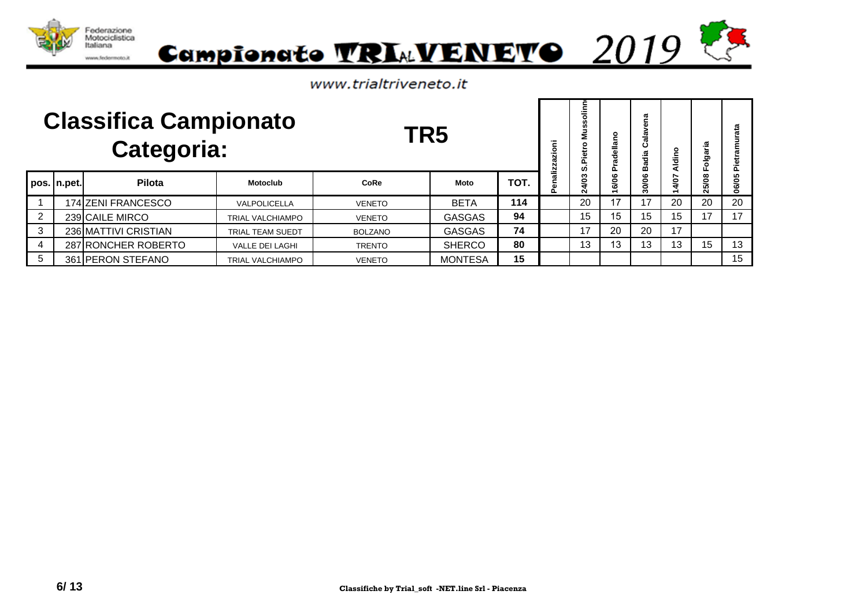



www.trialtriveneto.it

|                |             | <b>Classifica Campionato</b><br><b>Categoria:</b> |                         | TR5            |                |      | azioni        | ≔<br>Σ<br>൨<br>w | ဥ<br>della<br>՟ | g<br>≃ | Aldino    | aria<br>흥<br>Lī. | ata<br>ä |
|----------------|-------------|---------------------------------------------------|-------------------------|----------------|----------------|------|---------------|------------------|-----------------|--------|-----------|------------------|----------|
|                | pos. n.pet. | Pilota                                            | <b>Motoclub</b>         | CoRe           | Moto           | TOT. | enalizz<br>Δ. | 4/03<br>Ñ        | 16/06           | 30/06  | 4/07<br>÷ | 5/08<br>Ñ        | 06/05    |
|                |             | 174 ZENI FRANCESCO                                | VALPOLICELLA            | <b>VENETO</b>  | <b>BETA</b>    | 114  |               | 20               | 17              | 17     | 20        | 20               | 20       |
| $\overline{2}$ |             | 239 CAILE MIRCO                                   | <b>TRIAL VALCHIAMPO</b> | <b>VENETO</b>  | <b>GASGAS</b>  | 94   |               | 15               | 15              | 15     | 15        | 17               | 17       |
| $\mathbf{3}$   |             | 236 MATTIVI CRISTIAN                              | TRIAL TEAM SUEDT        | <b>BOLZANO</b> | <b>GASGAS</b>  | 74   |               | 17               | 20              | 20     | 17        |                  |          |
| $\overline{4}$ |             | 287 RONCHER ROBERTO                               | <b>VALLE DEI LAGHI</b>  | <b>TRENTO</b>  | <b>SHERCO</b>  | 80   |               | 13               | 13              | 13     | 13        | 15               | 13       |
| 5              |             | 361 PERON STEFANO                                 | <b>TRIAL VALCHIAMPO</b> | <b>VENETO</b>  | <b>MONTESA</b> | 15   |               |                  |                 |        |           |                  | 15       |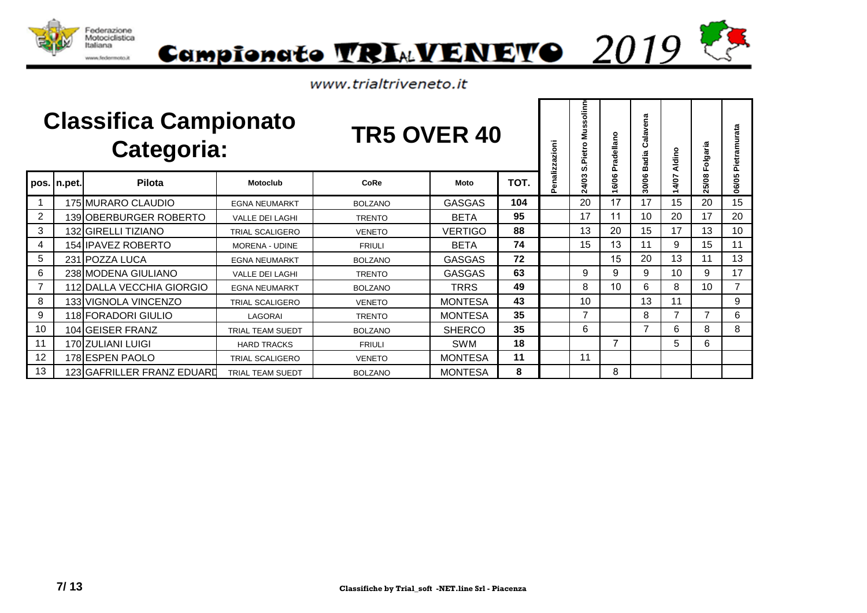



|                |             | <b>Classifica Campionato</b><br><b>Categoria:</b> |                         | <b>TR5 OVER 40</b> |                |      | enalizzazioni | olinn<br>ø.<br>n<br>Ë<br>$\circ$<br>Pietro<br>ທ່ | adellano<br>՟ | Calavena<br>Badia | Aldino         | aria<br>Folgo                | Pietramurata   |
|----------------|-------------|---------------------------------------------------|-------------------------|--------------------|----------------|------|---------------|--------------------------------------------------|---------------|-------------------|----------------|------------------------------|----------------|
|                | pos. n.pet. | <b>Pilota</b>                                     | <b>Motoclub</b>         | CoRe               | Moto           | TOT. |               | 24/03                                            | 6/06          | 30/06             | 4/07           | 5/08<br>$\tilde{\mathbf{N}}$ | 06/05          |
|                |             | 175 MURARO CLAUDIO                                | <b>EGNA NEUMARKT</b>    | <b>BOLZANO</b>     | <b>GASGAS</b>  | 104  |               | 20                                               | 17            | 17                | 15             | 20                           | 15             |
| $\overline{2}$ |             | 139 OBERBURGER ROBERTO                            | <b>VALLE DEI LAGHI</b>  | <b>TRENTO</b>      | <b>BETA</b>    | 95   |               | 17                                               | 11            | 10                | 20             | 17                           | 20             |
| 3              |             | 132 GIRELLI TIZIANO                               | <b>TRIAL SCALIGERO</b>  | <b>VENETO</b>      | <b>VERTIGO</b> | 88   |               | 13                                               | 20            | 15                | 17             | 13                           | 10             |
| 4              |             | 154 IPAVEZ ROBERTO                                | <b>MORENA - UDINE</b>   | <b>FRIULI</b>      | <b>BETA</b>    | 74   |               | 15                                               | 13            | 11                | 9              | 15                           | 11             |
| 5              |             | 231 POZZA LUCA                                    | <b>EGNA NEUMARKT</b>    | <b>BOLZANO</b>     | <b>GASGAS</b>  | 72   |               |                                                  | 15            | 20                | 13             | 11                           | 13             |
| 6              |             | 238 MODENA GIULIANO                               | <b>VALLE DEI LAGHI</b>  | <b>TRENTO</b>      | <b>GASGAS</b>  | 63   |               | 9                                                | 9             | 9                 | 10             | 9                            | 17             |
| $\overline{7}$ |             | 112 DALLA VECCHIA GIORGIO                         | <b>EGNA NEUMARKT</b>    | <b>BOLZANO</b>     | <b>TRRS</b>    | 49   |               | 8                                                | 10            | 6                 | 8              | 10 <sup>°</sup>              | $\overline{7}$ |
| 8              |             | 133 VIGNOLA VINCENZO                              | <b>TRIAL SCALIGERO</b>  | <b>VENETO</b>      | <b>MONTESA</b> | 43   |               | 10                                               |               | 13                | 11             |                              | 9              |
| 9              |             | 118 FORADORI GIULIO                               | LAGORAI                 | <b>TRENTO</b>      | <b>MONTESA</b> | 35   |               | $\overline{7}$                                   |               | 8                 | $\overline{ }$ |                              | 6              |
| 10             |             | 104 GEISER FRANZ                                  | TRIAL TEAM SUEDT        | <b>BOLZANO</b>     | <b>SHERCO</b>  | 35   |               | 6                                                |               | 7                 | 6              | 8                            | 8              |
| 11             |             | 170 ZULIANI LUIGI                                 | <b>HARD TRACKS</b>      | <b>FRIULI</b>      | <b>SWM</b>     | 18   |               |                                                  | 7             |                   | 5              | 6                            |                |
| 12             |             | 178 ESPEN PAOLO                                   | <b>TRIAL SCALIGERO</b>  | <b>VENETO</b>      | <b>MONTESA</b> | 11   |               | 11                                               |               |                   |                |                              |                |
| 13             |             | 123 GAFRILLER FRANZ EDUARD                        | <b>TRIAL TEAM SUEDT</b> | <b>BOLZANO</b>     | <b>MONTESA</b> | 8    |               |                                                  | 8             |                   |                |                              |                |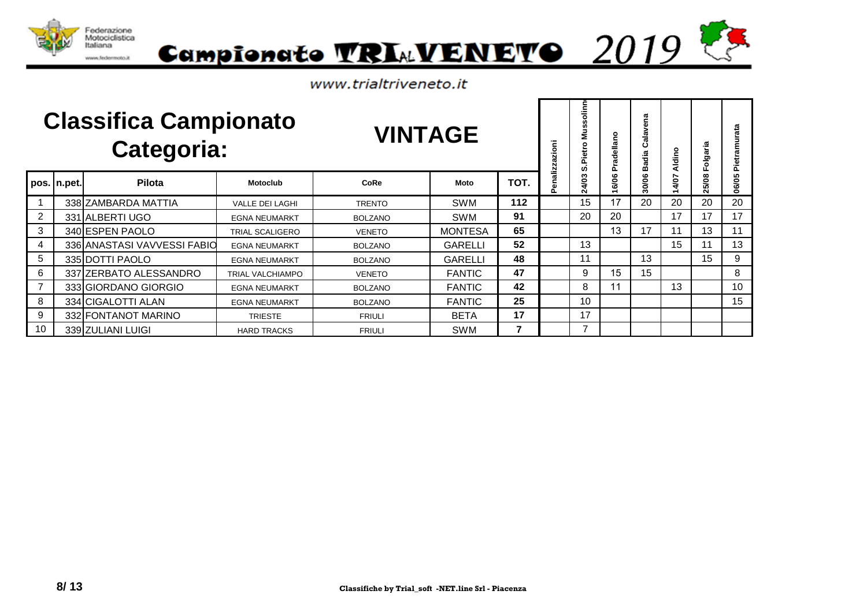



|              |             | <b>Classifica Campionato</b><br><b>Categoria:</b> |                        | <b>VINTAGE</b> |                |      | azioni       | olinn<br>s<br>ź<br>٥<br>붑<br>ŕĒ<br>ທ່ | ellano<br>ਟੂ<br>ò | ena<br>Cala<br>Badia | Aldino | Folgaria | Pietramurata |
|--------------|-------------|---------------------------------------------------|------------------------|----------------|----------------|------|--------------|---------------------------------------|-------------------|----------------------|--------|----------|--------------|
|              | pos. n.pet. | Pilota                                            | <b>Motoclub</b>        | CoRe           | Moto           | TOT. | enalizz<br>n | ω<br>24/0                             | 6/06              | 30/06                | 4/07   | 25/08    | 06/05        |
|              |             | 338 ZAMBARDA MATTIA                               | <b>VALLE DEI LAGHI</b> | <b>TRENTO</b>  | SWM            | 112  |              | 15                                    | 17                | 20                   | 20     | 20       | 20           |
| 2            |             | 331 ALBERTI UGO                                   | <b>EGNA NEUMARKT</b>   | <b>BOLZANO</b> | <b>SWM</b>     | 91   |              | 20                                    | 20                |                      | 17     | 17       | 17           |
| $\mathbf{3}$ |             | 340 ESPEN PAOLO                                   | TRIAL SCALIGERO        | <b>VENETO</b>  | <b>MONTESA</b> | 65   |              |                                       | 13                | 17                   | 11     | 13       | 11           |
| 4            |             | 336 ANASTASI VAVVESSI FABIO                       | <b>EGNA NEUMARKT</b>   | <b>BOLZANO</b> | <b>GARELLI</b> | 52   |              | 13                                    |                   |                      | 15     | 11       | 13           |
| 5            |             | 335 DOTTI PAOLO                                   | <b>EGNA NEUMARKT</b>   | <b>BOLZANO</b> | <b>GARELLI</b> | 48   |              | 11                                    |                   | 13                   |        | 15       | 9            |
| 6            |             | 337 ZERBATO ALESSANDRO                            | TRIAL VALCHIAMPO       | <b>VENETO</b>  | <b>FANTIC</b>  | 47   |              | 9                                     | 15                | 15                   |        |          | 8            |
|              |             | 333 GIORDANO GIORGIO                              | <b>EGNA NEUMARKT</b>   | <b>BOLZANO</b> | <b>FANTIC</b>  | 42   |              | 8                                     | 11                |                      | 13     |          | 10           |
| 8            |             | 334 CIGALOTTI ALAN                                | <b>EGNA NEUMARKT</b>   | <b>BOLZANO</b> | <b>FANTIC</b>  | 25   |              | 10                                    |                   |                      |        |          | 15           |
| 9            |             | 332 FONTANOT MARINO                               | <b>TRIESTE</b>         | <b>FRIULI</b>  | <b>BETA</b>    | 17   |              | 17                                    |                   |                      |        |          |              |
| 10           |             | 339 ZULIANI LUIGI                                 | <b>HARD TRACKS</b>     | <b>FRIULI</b>  | <b>SWM</b>     | 7    |              | 7                                     |                   |                      |        |          |              |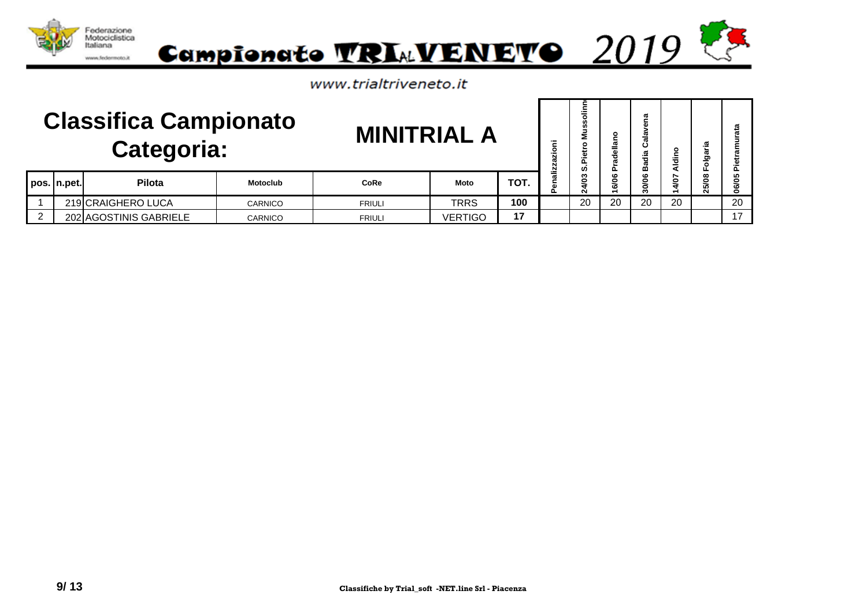

|   |             | <b>Classifica Campionato</b><br>Categoria: |                | <b>MINITRIAL A</b> |                |      | ≔<br>ō | ۰<br>m<br>m<br>o<br>ഗ | ൨           | œ<br>œ<br>.<br>ಹ<br>mõ | o<br>Aldin   | .≌<br>ත<br>ठ          |    |
|---|-------------|--------------------------------------------|----------------|--------------------|----------------|------|--------|-----------------------|-------------|------------------------|--------------|-----------------------|----|
|   | pos. n.pet. | Pilota                                     | Motoclub       | <b>CoRe</b>        | Moto           | TOT. |        | ຕ<br>٥                | ဖ<br>২<br>ဖ | ۰<br>g<br>ౚ            | ∼<br>Š<br>ਚੰ | $\infty$<br>ءِ<br>స్ట | 0  |
|   |             | 219 CRAIGHERO LUCA                         | <b>CARNICO</b> | <b>FRIULI</b>      | <b>TRRS</b>    | 100  |        | 20                    | 20          | 20                     | 20           |                       | 20 |
| 2 |             | 202 AGOSTINIS GABRIELE                     | <b>CARNICO</b> | <b>FRIULI</b>      | <b>VERTIGO</b> | 17   |        |                       |             |                        |              |                       | 17 |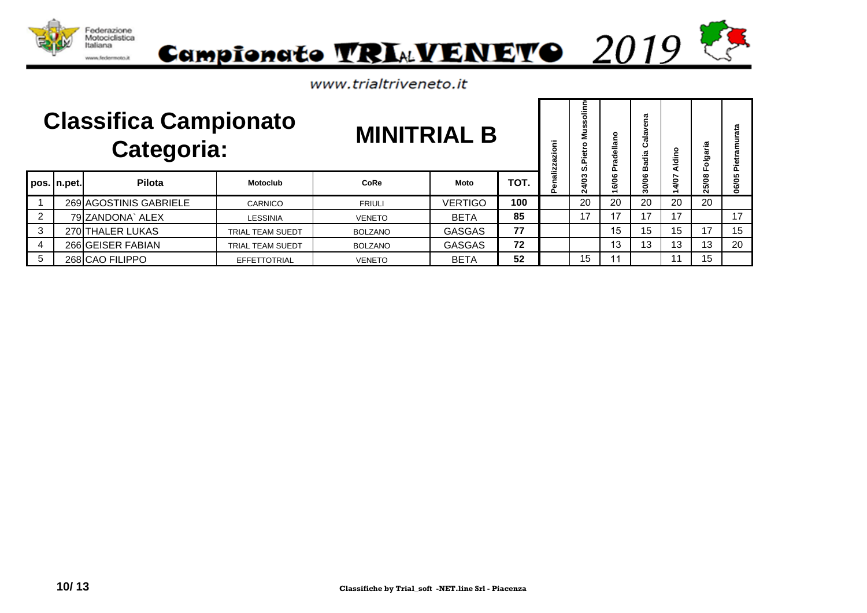



|                |             | <b>Classifica Campionato</b><br><b>Categoria:</b> |                  | <b>MINITRIAL B</b> |                |      | azioni       | ≘<br>ź<br>ဖာ   | ဥ<br>dellar<br>՟ | ത<br>Ω.<br>m | Aldino    | aria<br>흥<br>Lī. | ata<br>Piet |
|----------------|-------------|---------------------------------------------------|------------------|--------------------|----------------|------|--------------|----------------|------------------|--------------|-----------|------------------|-------------|
|                | pos. n.pet. | Pilota                                            | <b>Motoclub</b>  | CoRe               | Moto           | TOT. | enalizz<br>൨ | <b>SO</b><br>Ñ | 16/06            | 30/06        | 4/07<br>÷ | 25/08            | 06/05       |
|                |             | 269 AGOSTINIS GABRIELE                            | CARNICO          | <b>FRIULI</b>      | <b>VERTIGO</b> | 100  |              | 20             | 20               | 20           | 20        | 20               |             |
| $\overline{2}$ |             | 79 ZANDONA` ALEX                                  | LESSINIA         | <b>VENETO</b>      | <b>BETA</b>    | 85   |              | 17             | 17               | 17           | 17        |                  | 17          |
| $\mathbf{3}$   |             | 270 THALER LUKAS                                  | TRIAL TEAM SUEDT | <b>BOLZANO</b>     | <b>GASGAS</b>  | 77   |              |                | 15               | 15           | 15        | 17               | 15          |
| $\overline{4}$ |             | 266 GEISER FABIAN                                 | TRIAL TEAM SUEDT | <b>BOLZANO</b>     | <b>GASGAS</b>  | 72   |              |                | 13               | 13           | 13        | 13               | 20          |
| 5              |             | 268 CAO FILIPPO                                   | EFFETTOTRIAL     | <b>VENETO</b>      | <b>BETA</b>    | 52   |              | 15             |                  |              |           | 15               |             |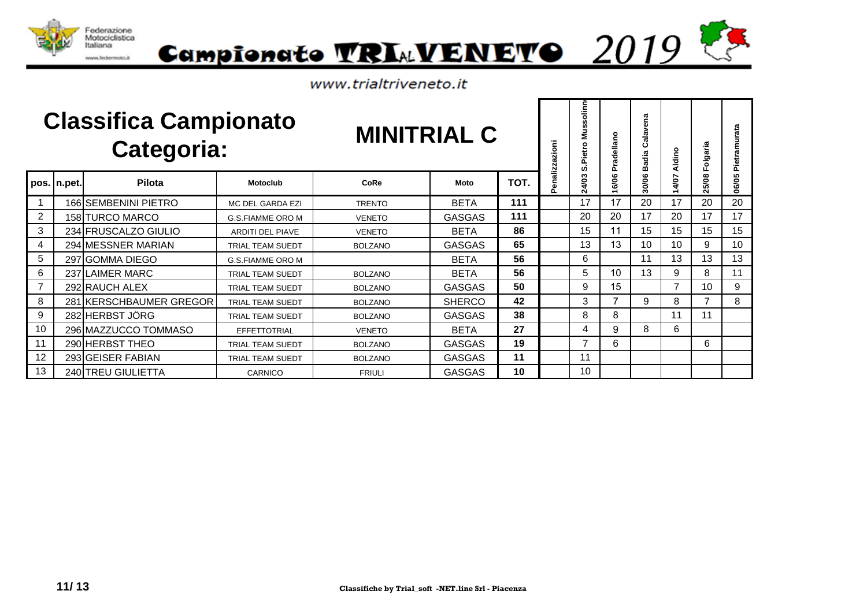



|                |             | <b>Classifica Campionato</b><br>Categoria: |                         | <b>MINITRIAL C</b> |               |      | enalizzazioni | olinn<br>ñ<br>Ŵ<br>Š<br>٥<br>Pietro<br>ທ່ | Pradellano | Calavena<br>Badia | Aldino         | Folgaria | Pietramurata |
|----------------|-------------|--------------------------------------------|-------------------------|--------------------|---------------|------|---------------|-------------------------------------------|------------|-------------------|----------------|----------|--------------|
|                | pos. n.pet. | Pilota                                     | <b>Motoclub</b>         | CoRe               | Moto          | TOT. | ñ.            | 24/03                                     | 6/06       | 30/06             | 4/07           | 25/08    | 06/05        |
|                |             | 166 SEMBENINI PIETRO                       | MC DEL GARDA EZI        | <b>TRENTO</b>      | <b>BETA</b>   | 111  |               | 17                                        | 17         | 20                | 17             | 20       | 20           |
| $\overline{2}$ |             | 158 TURCO MARCO                            | <b>G.S.FIAMME ORO M</b> | <b>VENETO</b>      | <b>GASGAS</b> | 111  |               | 20                                        | 20         | 17                | 20             | 17       | 17           |
| 3              |             | 234 FRUSCALZO GIULIO                       | <b>ARDITI DEL PIAVE</b> | <b>VENETO</b>      | <b>BETA</b>   | 86   |               | 15                                        | 11         | 15                | 15             | 15       | 15           |
| $\overline{4}$ |             | 294 MESSNER MARIAN                         | <b>TRIAL TEAM SUEDT</b> | <b>BOLZANO</b>     | <b>GASGAS</b> | 65   |               | 13                                        | 13         | 10                | 10             | 9        | 10           |
| 5              |             | 297 GOMMA DIEGO                            | <b>G.S.FIAMME ORO M</b> |                    | <b>BETA</b>   | 56   |               | 6                                         |            | 11                | 13             | 13       | 13           |
| 6              |             | 237 LAIMER MARC                            | <b>TRIAL TEAM SUEDT</b> | <b>BOLZANO</b>     | <b>BETA</b>   | 56   |               | 5                                         | 10         | 13                | 9              | 8        | 11           |
| $\overline{7}$ |             | 292 RAUCH ALEX                             | <b>TRIAL TEAM SUEDT</b> | <b>BOLZANO</b>     | <b>GASGAS</b> | 50   |               | 9                                         | 15         |                   | $\overline{7}$ | 10       | 9            |
| 8              |             | 281 KERSCHBAUMER GREGOR                    | <b>TRIAL TEAM SUEDT</b> | <b>BOLZANO</b>     | <b>SHERCO</b> | 42   |               | 3                                         |            | 9                 | 8              |          | 8            |
| 9              |             | 282 HERBST JÖRG                            | <b>TRIAL TEAM SUEDT</b> | <b>BOLZANO</b>     | <b>GASGAS</b> | 38   |               | 8                                         | 8          |                   | 11             | 11       |              |
| 10             |             | 296 MAZZUCCO TOMMASO                       | <b>EFFETTOTRIAL</b>     | <b>VENETO</b>      | <b>BETA</b>   | 27   |               | 4                                         | 9          | 8                 | 6              |          |              |
| 11             |             | 290 HERBST THEO                            | <b>TRIAL TEAM SUEDT</b> | <b>BOLZANO</b>     | <b>GASGAS</b> | 19   |               | 7                                         | 6          |                   |                | 6        |              |
| 12             |             | 293 GEISER FABIAN                          | <b>TRIAL TEAM SUEDT</b> | <b>BOLZANO</b>     | <b>GASGAS</b> | 11   |               | 11                                        |            |                   |                |          |              |
| 13             |             | 240 TREU GIULIETTA                         | CARNICO                 | <b>FRIULI</b>      | <b>GASGAS</b> | 10   |               | 10                                        |            |                   |                |          |              |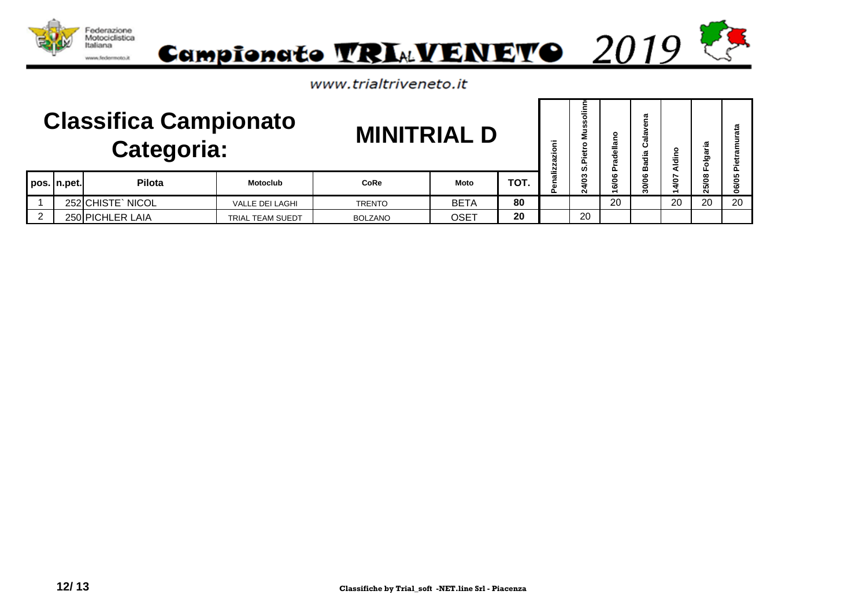

|   | <b>Classifica Campionato</b><br>Categoria:<br>Pilota<br><b>Motoclub</b><br>pos.   n.pet. |                   |                        | <b>MINITRIAL D</b> |             |      | ≂<br>zion<br>≞ | ഗ  | ellə<br>Đ   | ത<br>ω<br>≂.<br>ᢐ      | $\circ$<br><b>Aldin</b> | Ω.<br>ಕ<br>Folg  |        |
|---|------------------------------------------------------------------------------------------|-------------------|------------------------|--------------------|-------------|------|----------------|----|-------------|------------------------|-------------------------|------------------|--------|
|   |                                                                                          |                   |                        | <b>CoRe</b>        | <b>Moto</b> | TOT. |                | 0  | ဖ<br>২<br>ဖ | $\mathbf{c}$<br>ຂ<br>Ó | <b>SQ</b><br>₹          | $\infty$<br>25/0 | ທ<br>0 |
|   |                                                                                          | 252 CHISTE` NICOL | <b>VALLE DEI LAGHI</b> | <b>TRENTO</b>      | <b>BETA</b> | 80   |                |    | 20          |                        | 20                      | 20               | 20     |
| 2 |                                                                                          | 250 PICHLER LAIA  | TRIAL TEAM SUEDT       | <b>BOLZANO</b>     | <b>OSET</b> | 20   |                | 20 |             |                        |                         |                  |        |